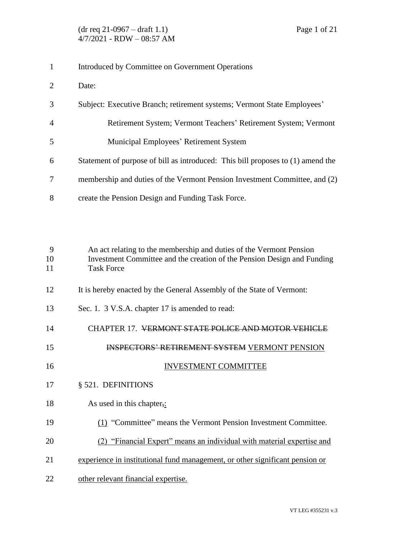## Introduced by Committee on Government Operations

- Date:
- Subject: Executive Branch; retirement systems; Vermont State Employees'
- Retirement System; Vermont Teachers' Retirement System; Vermont
- Municipal Employees' Retirement System
- Statement of purpose of bill as introduced: This bill proposes to (1) amend the
- membership and duties of the Vermont Pension Investment Committee, and (2)
- create the Pension Design and Funding Task Force.

 An act relating to the membership and duties of the Vermont Pension Investment Committee and the creation of the Pension Design and Funding Task Force

- 12 It is hereby enacted by the General Assembly of the State of Vermont:
- 13 Sec. 1. 3 V.S.A. chapter 17 is amended to read:
- CHAPTER 17. VERMONT STATE POLICE AND MOTOR VEHICLE
- INSPECTORS' RETIREMENT SYSTEM VERMONT PENSION
- 16 INVESTMENT COMMITTEE
- § 521. DEFINITIONS
- 18 As used in this chapter,:
- (1) "Committee" means the Vermont Pension Investment Committee.
- (2) "Financial Expert" means an individual with material expertise and
- experience in institutional fund management, or other significant pension or
- other relevant financial expertise.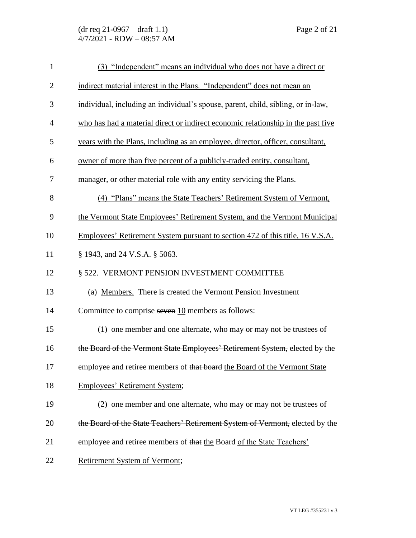| $\mathbf{1}$   | (3) "Independent" means an individual who does not have a direct or              |
|----------------|----------------------------------------------------------------------------------|
| $\overline{2}$ | indirect material interest in the Plans. "Independent" does not mean an          |
| 3              | individual, including an individual's spouse, parent, child, sibling, or in-law, |
| $\overline{4}$ | who has had a material direct or indirect economic relationship in the past five |
| 5              | years with the Plans, including as an employee, director, officer, consultant,   |
| 6              | owner of more than five percent of a publicly-traded entity, consultant,         |
| 7              | manager, or other material role with any entity servicing the Plans.             |
| 8              | (4) "Plans" means the State Teachers' Retirement System of Vermont,              |
| 9              | the Vermont State Employees' Retirement System, and the Vermont Municipal        |
| 10             | Employees' Retirement System pursuant to section 472 of this title, 16 V.S.A.    |
| 11             | § 1943, and 24 V.S.A. § 5063.                                                    |
| 12             | § 522. VERMONT PENSION INVESTMENT COMMITTEE                                      |
| 13             | (a) Members. There is created the Vermont Pension Investment                     |
| 14             | Committee to comprise seven 10 members as follows:                               |
| 15             | (1) one member and one alternate, who may or may not be trustees of              |
| 16             | the Board of the Vermont State Employees' Retirement System, elected by the      |
| 17             | employee and retiree members of that board the Board of the Vermont State        |
| 18             | Employees' Retirement System;                                                    |
| 19             | $(2)$ one member and one alternate, who may or may not be trustees of            |
| 20             | the Board of the State Teachers' Retirement System of Vermont, elected by the    |
| 21             | employee and retiree members of that the Board of the State Teachers'            |
| 22             | Retirement System of Vermont;                                                    |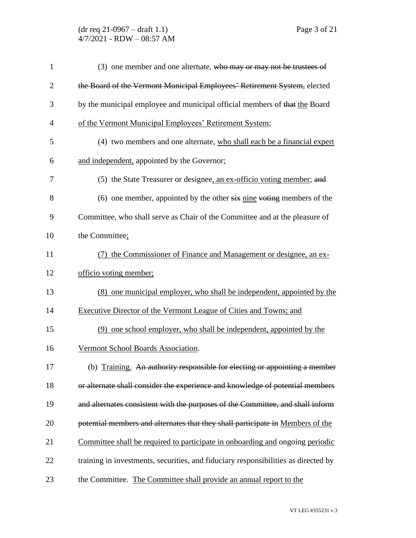| $\mathbf{1}$   | (3) one member and one alternate, who may or may not be trustees of                |
|----------------|------------------------------------------------------------------------------------|
| $\overline{2}$ | the Board of the Vermont Municipal Employees' Retirement System, elected           |
| 3              | by the municipal employee and municipal official members of that the Board         |
| $\overline{4}$ | of the Vermont Municipal Employees' Retirement System;                             |
| 5              | (4) two members and one alternate, who shall each be a financial expert            |
| 6              | and independent, appointed by the Governor;                                        |
| 7              | (5) the State Treasurer or designee, an ex-officio voting member; and              |
| 8              | (6) one member, appointed by the other $s\ddot{x}$ nine voting members of the      |
| 9              | Committee, who shall serve as Chair of the Committee and at the pleasure of        |
| 10             | the Committee;                                                                     |
| 11             | the Commissioner of Finance and Management or designee, an ex-                     |
| 12             | officio voting member;                                                             |
| 13             | (8) one municipal employer, who shall be independent, appointed by the             |
| 14             | Executive Director of the Vermont League of Cities and Towns; and                  |
| 15             | (9) one school employer, who shall be independent, appointed by the                |
| 16             | Vermont School Boards Association.                                                 |
| 17             | (b) Training. An authority responsible for electing or appointing a member         |
| 18             | or alternate shall consider the experience and knowledge of potential members      |
| 19             | and alternates consistent with the purposes of the Committee, and shall inform     |
| 20             | potential members and alternates that they shall participate in Members of the     |
| 21             | Committee shall be required to participate in onboarding and ongoing periodic      |
| 22             | training in investments, securities, and fiduciary responsibilities as directed by |
| 23             | the Committee. The Committee shall provide an annual report to the                 |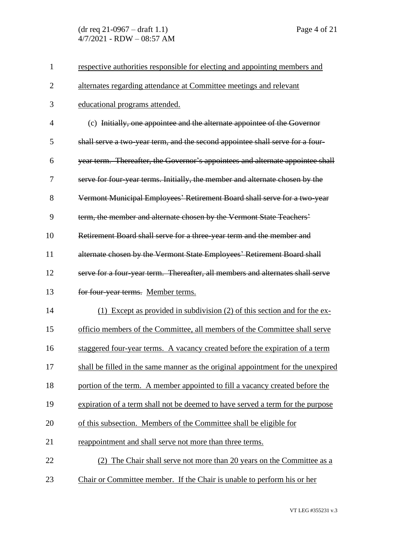| 1              | respective authorities responsible for electing and appointing members and       |
|----------------|----------------------------------------------------------------------------------|
| $\overline{2}$ | alternates regarding attendance at Committee meetings and relevant               |
| 3              | educational programs attended.                                                   |
| $\overline{4}$ | (c) Initially, one appointee and the alternate appointee of the Governor         |
| 5              | shall serve a two-year term, and the second appointee shall serve for a four-    |
| 6              | year term. Thereafter, the Governor's appointees and alternate appointee shall   |
| 7              | serve for four-year terms. Initially, the member and alternate chosen by the     |
| 8              | Vermont Municipal Employees' Retirement Board shall serve for a two-year         |
| 9              | term, the member and alternate chosen by the Vermont State Teachers'             |
| 10             | Retirement Board shall serve for a three-year term and the member and            |
| 11             | alternate chosen by the Vermont State Employees' Retirement Board shall          |
| 12             | serve for a four-year term. Thereafter, all members and alternates shall serve   |
| 13             | for four-year terms. Member terms.                                               |
| 14             | (1) Except as provided in subdivision (2) of this section and for the ex-        |
| 15             | officio members of the Committee, all members of the Committee shall serve       |
| 16             | staggered four-year terms. A vacancy created before the expiration of a term     |
| 17             | shall be filled in the same manner as the original appointment for the unexpired |
| 18             | portion of the term. A member appointed to fill a vacancy created before the     |
| 19             | expiration of a term shall not be deemed to have served a term for the purpose   |
| 20             | of this subsection. Members of the Committee shall be eligible for               |
| 21             | reappointment and shall serve not more than three terms.                         |
| 22             | (2) The Chair shall serve not more than 20 years on the Committee as a           |
| 23             | Chair or Committee member. If the Chair is unable to perform his or her          |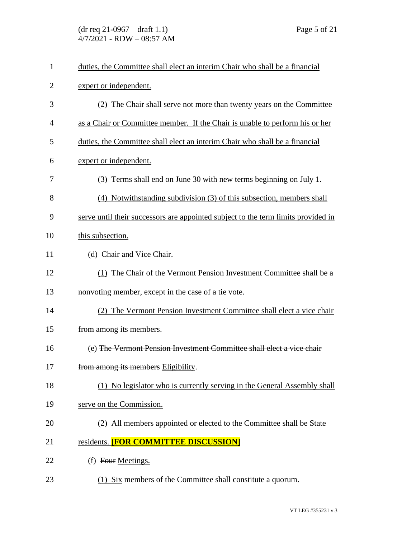| $\mathbf{1}$   | duties, the Committee shall elect an interim Chair who shall be a financial       |
|----------------|-----------------------------------------------------------------------------------|
| $\overline{2}$ | expert or independent.                                                            |
| 3              | (2) The Chair shall serve not more than twenty years on the Committee             |
| 4              | as a Chair or Committee member. If the Chair is unable to perform his or her      |
| 5              | duties, the Committee shall elect an interim Chair who shall be a financial       |
| 6              | expert or independent.                                                            |
| 7              | (3) Terms shall end on June 30 with new terms beginning on July 1.                |
| 8              | (4) Notwithstanding subdivision (3) of this subsection, members shall             |
| 9              | serve until their successors are appointed subject to the term limits provided in |
| 10             | this subsection.                                                                  |
| 11             | (d) Chair and Vice Chair.                                                         |
| 12             | (1) The Chair of the Vermont Pension Investment Committee shall be a              |
| 13             | nonvoting member, except in the case of a tie vote.                               |
| 14             | (2) The Vermont Pension Investment Committee shall elect a vice chair             |
| 15             | from among its members.                                                           |
| 16             | (e) The Vermont Pension Investment Committee shall elect a vice chair             |
| 17             | from among its members Eligibility.                                               |
| 18             | (1) No legislator who is currently serving in the General Assembly shall          |
| 19             | serve on the Commission.                                                          |
| 20             | All members appointed or elected to the Committee shall be State                  |
| 21             | residents. <b>[FOR COMMITTEE DISCUSSION]</b>                                      |
| 22             | (f) Four Meetings.                                                                |
| 23             | (1) Six members of the Committee shall constitute a quorum.                       |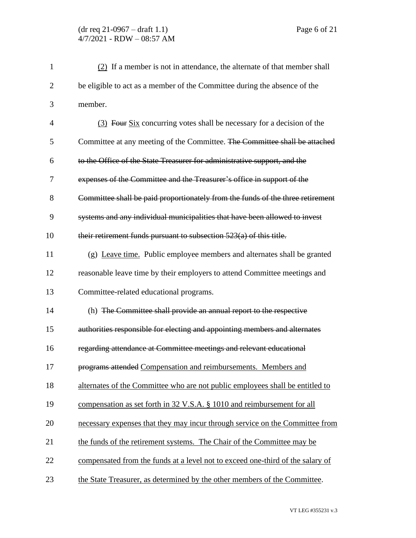| $\mathbf{1}$   | $(2)$ If a member is not in attendance, the alternate of that member shall     |
|----------------|--------------------------------------------------------------------------------|
| $\overline{2}$ | be eligible to act as a member of the Committee during the absence of the      |
| 3              | member.                                                                        |
| $\overline{4}$ | (3) Four Six concurring votes shall be necessary for a decision of the         |
| 5              | Committee at any meeting of the Committee. The Committee shall be attached     |
| 6              | to the Office of the State Treasurer for administrative support, and the       |
| 7              | expenses of the Committee and the Treasurer's office in support of the         |
| 8              | Committee shall be paid proportionately from the funds of the three retirement |
| 9              | systems and any individual municipalities that have been allowed to invest     |
| 10             | their retirement funds pursuant to subsection 523(a) of this title.            |
| 11             | (g) Leave time. Public employee members and alternates shall be granted        |
| 12             | reasonable leave time by their employers to attend Committee meetings and      |
| 13             | Committee-related educational programs.                                        |
| 14             | (h) The Committee shall provide an annual report to the respective             |
| 15             | authorities responsible for electing and appointing members and alternates     |
| 16             | regarding attendance at Committee meetings and relevant educational            |
| 17             | programs attended Compensation and reimbursements. Members and                 |
| 18             | alternates of the Committee who are not public employees shall be entitled to  |
| 19             | compensation as set forth in 32 V.S.A. § 1010 and reimbursement for all        |
| 20             | necessary expenses that they may incur through service on the Committee from   |
| 21             | the funds of the retirement systems. The Chair of the Committee may be         |
| 22             | compensated from the funds at a level not to exceed one-third of the salary of |
| 23             | the State Treasurer, as determined by the other members of the Committee.      |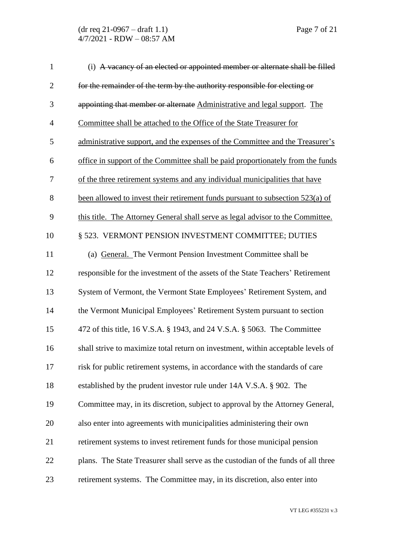| $\mathbf{1}$   | (i) A vacancy of an elected or appointed member or alternate shall be filled      |
|----------------|-----------------------------------------------------------------------------------|
| $\overline{2}$ | for the remainder of the term by the authority responsible for electing or        |
| 3              | appointing that member or alternate Administrative and legal support. The         |
| $\overline{4}$ | Committee shall be attached to the Office of the State Treasurer for              |
| 5              | administrative support, and the expenses of the Committee and the Treasurer's     |
| 6              | office in support of the Committee shall be paid proportionately from the funds   |
| 7              | of the three retirement systems and any individual municipalities that have       |
| 8              | been allowed to invest their retirement funds pursuant to subsection 523(a) of    |
| 9              | this title. The Attorney General shall serve as legal advisor to the Committee.   |
| 10             | § 523. VERMONT PENSION INVESTMENT COMMITTEE; DUTIES                               |
| 11             | (a) General. The Vermont Pension Investment Committee shall be                    |
| 12             | responsible for the investment of the assets of the State Teachers' Retirement    |
| 13             | System of Vermont, the Vermont State Employees' Retirement System, and            |
| 14             | the Vermont Municipal Employees' Retirement System pursuant to section            |
| 15             | 472 of this title, 16 V.S.A. § 1943, and 24 V.S.A. § 5063. The Committee          |
| 16             | shall strive to maximize total return on investment, within acceptable levels of  |
| 17             | risk for public retirement systems, in accordance with the standards of care      |
| 18             | established by the prudent investor rule under 14A V.S.A. § 902. The              |
| 19             | Committee may, in its discretion, subject to approval by the Attorney General,    |
| 20             | also enter into agreements with municipalities administering their own            |
| 21             | retirement systems to invest retirement funds for those municipal pension         |
| 22             | plans. The State Treasurer shall serve as the custodian of the funds of all three |
| 23             | retirement systems. The Committee may, in its discretion, also enter into         |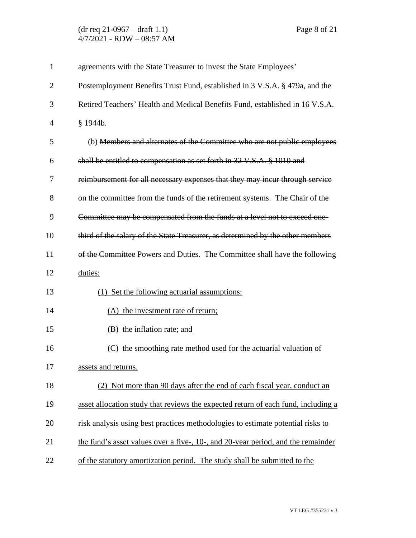| $\mathbf{1}$   | agreements with the State Treasurer to invest the State Employees'                |
|----------------|-----------------------------------------------------------------------------------|
| $\overline{2}$ | Postemployment Benefits Trust Fund, established in 3 V.S.A. § 479a, and the       |
| 3              | Retired Teachers' Health and Medical Benefits Fund, established in 16 V.S.A.      |
| 4              | § 1944b.                                                                          |
| 5              | (b) Members and alternates of the Committee who are not public employees          |
| 6              | shall be entitled to compensation as set forth in 32 V.S.A. § 1010 and            |
| 7              | reimbursement for all necessary expenses that they may incur through service      |
| 8              | on the committee from the funds of the retirement systems. The Chair of the       |
| 9              | Committee may be compensated from the funds at a level not to exceed one-         |
| 10             | third of the salary of the State Treasurer, as determined by the other members    |
| 11             | of the Committee Powers and Duties. The Committee shall have the following        |
| 12             | duties:                                                                           |
| 13             | (1) Set the following actuarial assumptions:                                      |
| 14             | (A) the investment rate of return;                                                |
| 15             | (B) the inflation rate; and                                                       |
| 16             | the smoothing rate method used for the actuarial valuation of<br>(C)              |
| 17             | assets and returns.                                                               |
| 18             | Not more than 90 days after the end of each fiscal year, conduct an               |
| 19             | asset allocation study that reviews the expected return of each fund, including a |
| 20             | risk analysis using best practices methodologies to estimate potential risks to   |
| 21             | the fund's asset values over a five-, 10-, and 20-year period, and the remainder  |
| 22             | of the statutory amortization period. The study shall be submitted to the         |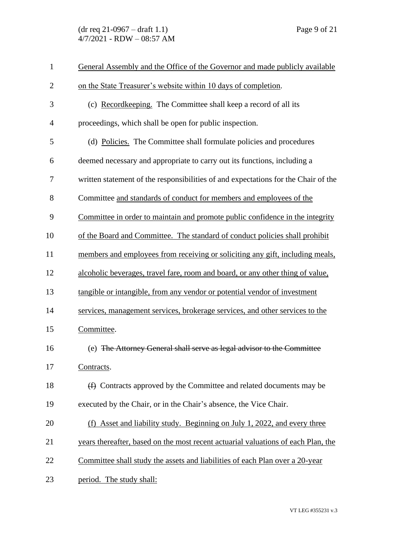(dr req 21-0967 – draft 1.1) Page 9 of 21 4/7/2021 - RDW – 08:57 AM

| $\mathbf{1}$   | General Assembly and the Office of the Governor and made publicly available        |
|----------------|------------------------------------------------------------------------------------|
| $\overline{2}$ | on the State Treasurer's website within 10 days of completion.                     |
| 3              | (c) Recordkeeping. The Committee shall keep a record of all its                    |
| $\overline{4}$ | proceedings, which shall be open for public inspection.                            |
| 5              | (d) Policies. The Committee shall formulate policies and procedures                |
| 6              | deemed necessary and appropriate to carry out its functions, including a           |
| 7              | written statement of the responsibilities of and expectations for the Chair of the |
| 8              | Committee and standards of conduct for members and employees of the                |
| 9              | Committee in order to maintain and promote public confidence in the integrity      |
| 10             | of the Board and Committee. The standard of conduct policies shall prohibit        |
| 11             | members and employees from receiving or soliciting any gift, including meals,      |
| 12             | alcoholic beverages, travel fare, room and board, or any other thing of value,     |
| 13             | tangible or intangible, from any vendor or potential vendor of investment          |
| 14             | services, management services, brokerage services, and other services to the       |
| 15             | Committee.                                                                         |
| 16             | (e) The Attorney General shall serve as legal advisor to the Committee             |
| 17             | Contracts.                                                                         |
| 18             | (f) Contracts approved by the Committee and related documents may be               |
| 19             | executed by the Chair, or in the Chair's absence, the Vice Chair.                  |
| 20             | (f) Asset and liability study. Beginning on July 1, 2022, and every three          |
| 21             | years thereafter, based on the most recent actuarial valuations of each Plan, the  |
| 22             | Committee shall study the assets and liabilities of each Plan over a 20-year       |
| 23             | period. The study shall:                                                           |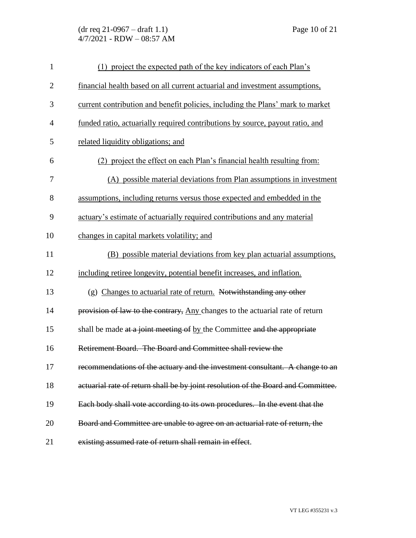(dr req 21-0967 – draft 1.1) Page 10 of 21 4/7/2021 - RDW – 08:57 AM

| $\mathbf{1}$   | (1) project the expected path of the key indicators of each Plan's                |
|----------------|-----------------------------------------------------------------------------------|
| $\overline{2}$ | financial health based on all current actuarial and investment assumptions,       |
| 3              | current contribution and benefit policies, including the Plans' mark to market    |
| $\overline{4}$ | funded ratio, actuarially required contributions by source, payout ratio, and     |
| 5              | related liquidity obligations; and                                                |
| 6              | (2) project the effect on each Plan's financial health resulting from:            |
| 7              | (A) possible material deviations from Plan assumptions in investment              |
| 8              | assumptions, including returns versus those expected and embedded in the          |
| 9              | actuary's estimate of actuarially required contributions and any material         |
| 10             | changes in capital markets volatility; and                                        |
| 11             | (B) possible material deviations from key plan actuarial assumptions,             |
| 12             | including retiree longevity, potential benefit increases, and inflation.          |
| 13             | (g) Changes to actuarial rate of return. Notwithstanding any other                |
| 14             | provision of law to the contrary, Any changes to the actuarial rate of return     |
| 15             | shall be made at a joint meeting of by the Committee and the appropriate          |
| 16             | Retirement Board. The Board and Committee shall review the                        |
| 17             | recommendations of the actuary and the investment consultant. A change to an      |
| 18             | actuarial rate of return shall be by joint resolution of the Board and Committee. |
| 19             | Each body shall vote according to its own procedures. In the event that the       |
| 20             | Board and Committee are unable to agree on an actuarial rate of return, the       |
| 21             | existing assumed rate of return shall remain in effect.                           |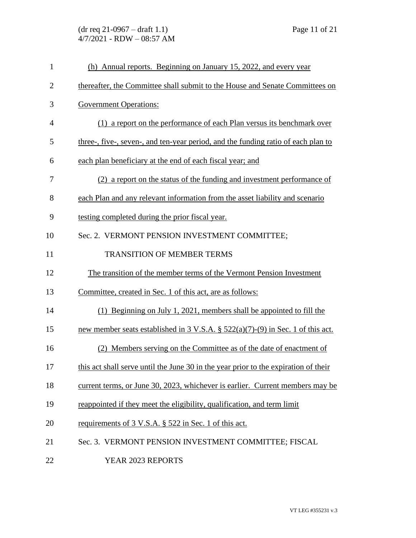| $\mathbf{1}$   | (h) Annual reports. Beginning on January 15, 2022, and every year                              |
|----------------|------------------------------------------------------------------------------------------------|
| $\mathbf{2}$   | thereafter, the Committee shall submit to the House and Senate Committees on                   |
| 3              | <b>Government Operations:</b>                                                                  |
| $\overline{4}$ | (1) a report on the performance of each Plan versus its benchmark over                         |
| 5              | three-, five-, seven-, and ten-year period, and the funding ratio of each plan to              |
| 6              | each plan beneficiary at the end of each fiscal year; and                                      |
| 7              | (2) a report on the status of the funding and investment performance of                        |
| 8              | each Plan and any relevant information from the asset liability and scenario                   |
| 9              | testing completed during the prior fiscal year.                                                |
| 10             | Sec. 2. VERMONT PENSION INVESTMENT COMMITTEE;                                                  |
| 11             | <b>TRANSITION OF MEMBER TERMS</b>                                                              |
| 12             | The transition of the member terms of the Vermont Pension Investment                           |
| 13             | Committee, created in Sec. 1 of this act, are as follows:                                      |
| 14             | $(1)$ Beginning on July 1, 2021, members shall be appointed to fill the                        |
| 15             | new member seats established in $3 \text{ V.S.A.}$ $\S$ $522(a)(7)-(9)$ in Sec. 1 of this act. |
| 16             | (2) Members serving on the Committee as of the date of enactment of                            |
| 17             | this act shall serve until the June 30 in the year prior to the expiration of their            |
| 18             | current terms, or June 30, 2023, whichever is earlier. Current members may be                  |
| 19             | reappointed if they meet the eligibility, qualification, and term limit                        |
| 20             | requirements of 3 V.S.A. § 522 in Sec. 1 of this act.                                          |
| 21             | Sec. 3. VERMONT PENSION INVESTMENT COMMITTEE; FISCAL                                           |
| 22             | YEAR 2023 REPORTS                                                                              |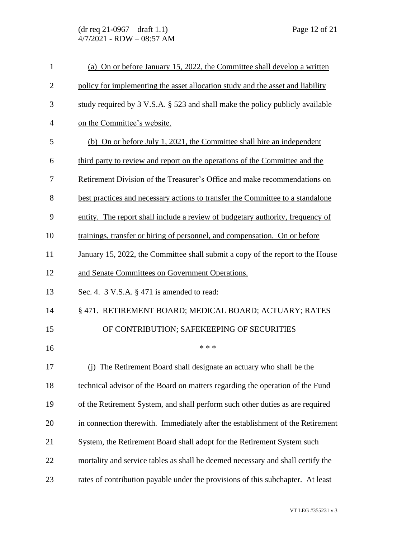| $\mathbf{1}$   | (a) On or before January 15, 2022, the Committee shall develop a written        |
|----------------|---------------------------------------------------------------------------------|
| $\overline{2}$ | policy for implementing the asset allocation study and the asset and liability  |
| 3              | study required by 3 V.S.A. § 523 and shall make the policy publicly available   |
| 4              | on the Committee's website.                                                     |
| 5              | (b) On or before July 1, 2021, the Committee shall hire an independent          |
| 6              | third party to review and report on the operations of the Committee and the     |
| 7              | Retirement Division of the Treasurer's Office and make recommendations on       |
| 8              | best practices and necessary actions to transfer the Committee to a standalone  |
| 9              | entity. The report shall include a review of budgetary authority, frequency of  |
| 10             | trainings, transfer or hiring of personnel, and compensation. On or before      |
| 11             | January 15, 2022, the Committee shall submit a copy of the report to the House  |
| 12             | and Senate Committees on Government Operations.                                 |
| 13             | Sec. 4. 3 V.S.A. § 471 is amended to read:                                      |
| 14             | § 471. RETIREMENT BOARD; MEDICAL BOARD; ACTUARY; RATES                          |
| 15             | OF CONTRIBUTION; SAFEKEEPING OF SECURITIES                                      |
| 16             | * * *                                                                           |
| 17             | (j) The Retirement Board shall designate an actuary who shall be the            |
| 18             | technical advisor of the Board on matters regarding the operation of the Fund   |
| 19             | of the Retirement System, and shall perform such other duties as are required   |
| 20             | in connection therewith. Immediately after the establishment of the Retirement  |
| 21             | System, the Retirement Board shall adopt for the Retirement System such         |
| 22             | mortality and service tables as shall be deemed necessary and shall certify the |
| 23             | rates of contribution payable under the provisions of this subchapter. At least |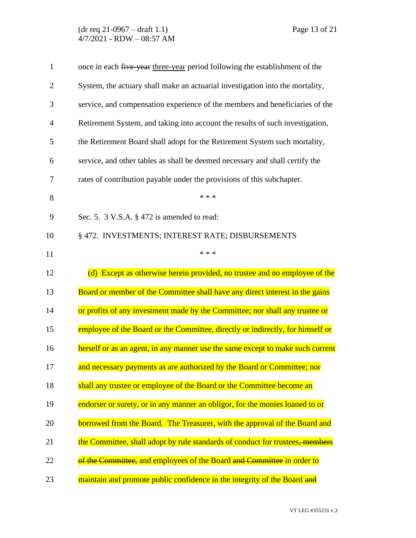(dr req 21-0967 – draft 1.1) Page 13 of 21 4/7/2021 - RDW – 08:57 AM

| $\mathbf{1}$   | once in each five-year three-year period following the establishment of the    |
|----------------|--------------------------------------------------------------------------------|
| $\overline{2}$ | System, the actuary shall make an actuarial investigation into the mortality,  |
| 3              | service, and compensation experience of the members and beneficiaries of the   |
| $\overline{4}$ | Retirement System, and taking into account the results of such investigation,  |
| 5              | the Retirement Board shall adopt for the Retirement System such mortality,     |
| 6              | service, and other tables as shall be deemed necessary and shall certify the   |
| 7              | rates of contribution payable under the provisions of this subchapter.         |
| 8              | * * *                                                                          |
| 9              | Sec. 5. $3$ V.S.A. $\S$ 472 is amended to read:                                |
| 10             | § 472. INVESTMENTS; INTEREST RATE; DISBURSEMENTS                               |
| 11             | * * *                                                                          |
| 12             | (d) Except as otherwise herein provided, no trustee and no employee of the     |
| 13             | Board or member of the Committee shall have any direct interest in the gains   |
| 14             | or profits of any investment made by the Committee; nor shall any trustee or   |
| 15             | employee of the Board or the Committee, directly or indirectly, for himself or |
| 16             | herself or as an agent, in any manner use the same except to make such current |
| 17             | and necessary payments as are authorized by the Board or Committee; nor        |
| 18             | shall any trustee or employee of the Board or the Committee become an          |
| 19             | endorser or surety, or in any manner an obligor, for the monies loaned to or   |
| 20             | borrowed from the Board. The Treasurer, with the approval of the Board and     |
| 21             | the Committee, shall adopt by rule standards of conduct for trustees, members  |
| 22             | of the Committee, and employees of the Board and Committee in order to         |
| 23             | maintain and promote public confidence in the integrity of the Board and       |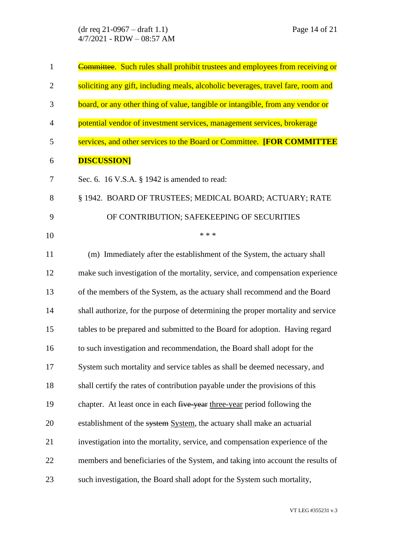(dr req 21-0967 – draft 1.1) Page 14 of 21 4/7/2021 - RDW – 08:57 AM

| $\mathbf{1}$   | Committee. Such rules shall prohibit trustees and employees from receiving or    |
|----------------|----------------------------------------------------------------------------------|
| $\overline{2}$ | soliciting any gift, including meals, alcoholic beverages, travel fare, room and |
| 3              | board, or any other thing of value, tangible or intangible, from any vendor or   |
| $\overline{4}$ | potential vendor of investment services, management services, brokerage          |
| 5              | services, and other services to the Board or Committee. [FOR COMMITTEE           |
| 6              | <b>DISCUSSION]</b>                                                               |
| 7              | Sec. 6. 16 V.S.A. $\S$ 1942 is amended to read:                                  |
| 8              | § 1942. BOARD OF TRUSTEES; MEDICAL BOARD; ACTUARY; RATE                          |
| 9              | OF CONTRIBUTION; SAFEKEEPING OF SECURITIES                                       |
| 10             | * * *                                                                            |
| 11             | (m) Immediately after the establishment of the System, the actuary shall         |
| 12             | make such investigation of the mortality, service, and compensation experience   |
| 13             | of the members of the System, as the actuary shall recommend and the Board       |
| 14             | shall authorize, for the purpose of determining the proper mortality and service |
| 15             | tables to be prepared and submitted to the Board for adoption. Having regard     |
| 16             | to such investigation and recommendation, the Board shall adopt for the          |
| 17             | System such mortality and service tables as shall be deemed necessary, and       |
| 18             | shall certify the rates of contribution payable under the provisions of this     |
| 19             | chapter. At least once in each five year three-year period following the         |
| 20             | establishment of the system System, the actuary shall make an actuarial          |
| 21             | investigation into the mortality, service, and compensation experience of the    |
| 22             | members and beneficiaries of the System, and taking into account the results of  |
| 23             | such investigation, the Board shall adopt for the System such mortality,         |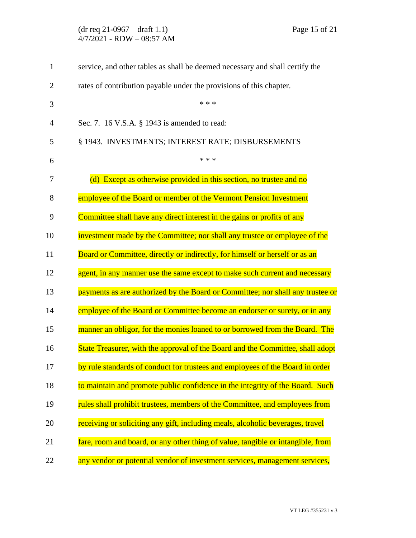| $\mathbf{1}$   | service, and other tables as shall be deemed necessary and shall certify the    |
|----------------|---------------------------------------------------------------------------------|
| $\overline{2}$ | rates of contribution payable under the provisions of this chapter.             |
| 3              | * * *                                                                           |
| 4              | Sec. 7. 16 V.S.A. § 1943 is amended to read:                                    |
| 5              | § 1943. INVESTMENTS; INTEREST RATE; DISBURSEMENTS                               |
| 6              | * * *                                                                           |
| 7              | (d) Except as otherwise provided in this section, no trustee and no             |
| 8              | employee of the Board or member of the Vermont Pension Investment               |
| 9              | Committee shall have any direct interest in the gains or profits of any         |
| 10             | investment made by the Committee; nor shall any trustee or employee of the      |
| 11             | Board or Committee, directly or indirectly, for himself or herself or as an     |
| 12             | agent, in any manner use the same except to make such current and necessary     |
| 13             | payments as are authorized by the Board or Committee; nor shall any trustee or  |
| 14             | employee of the Board or Committee become an endorser or surety, or in any      |
| 15             | manner an obligor, for the monies loaned to or borrowed from the Board. The     |
| 16             | State Treasurer, with the approval of the Board and the Committee, shall adopt  |
| 17             | by rule standards of conduct for trustees and employees of the Board in order   |
| 18             | to maintain and promote public confidence in the integrity of the Board. Such   |
| 19             | rules shall prohibit trustees, members of the Committee, and employees from     |
| 20             | receiving or soliciting any gift, including meals, alcoholic beverages, travel  |
| 21             | fare, room and board, or any other thing of value, tangible or intangible, from |
| 22             | any vendor or potential vendor of investment services, management services,     |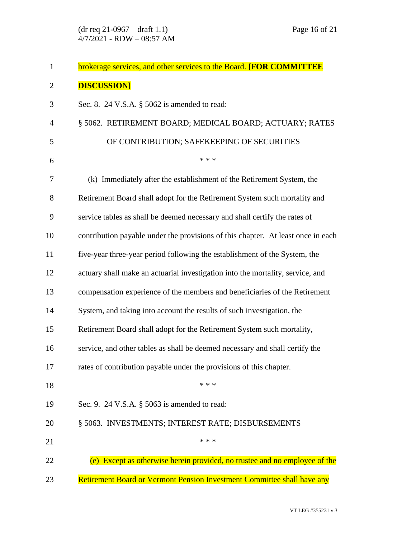| $\mathbf{1}$   | brokerage services, and other services to the Board. [FOR COMMITTEE              |
|----------------|----------------------------------------------------------------------------------|
| $\overline{2}$ | <b>DISCUSSION]</b>                                                               |
| 3              | Sec. 8. 24 V.S.A. $\S$ 5062 is amended to read:                                  |
| $\overline{4}$ | § 5062. RETIREMENT BOARD; MEDICAL BOARD; ACTUARY; RATES                          |
| 5              | OF CONTRIBUTION; SAFEKEEPING OF SECURITIES                                       |
| 6              | * * *                                                                            |
| $\overline{7}$ | (k) Immediately after the establishment of the Retirement System, the            |
| 8              | Retirement Board shall adopt for the Retirement System such mortality and        |
| 9              | service tables as shall be deemed necessary and shall certify the rates of       |
| 10             | contribution payable under the provisions of this chapter. At least once in each |
| 11             | five year three-year period following the establishment of the System, the       |
| 12             | actuary shall make an actuarial investigation into the mortality, service, and   |
| 13             | compensation experience of the members and beneficiaries of the Retirement       |
| 14             | System, and taking into account the results of such investigation, the           |
| 15             | Retirement Board shall adopt for the Retirement System such mortality,           |
| 16             | service, and other tables as shall be deemed necessary and shall certify the     |
| 17             | rates of contribution payable under the provisions of this chapter.              |
| 18             | * * *                                                                            |
| 19             | Sec. 9. 24 V.S.A. § 5063 is amended to read:                                     |
| 20             | § 5063. INVESTMENTS; INTEREST RATE; DISBURSEMENTS                                |
| 21             | * * *                                                                            |
| 22             | (e) Except as otherwise herein provided, no trustee and no employee of the       |
| 23             | Retirement Board or Vermont Pension Investment Committee shall have any          |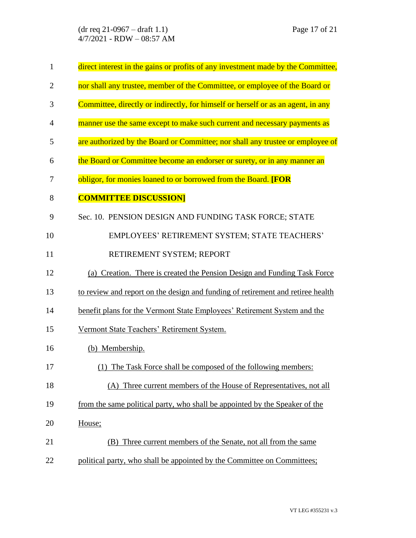(dr req 21-0967 – draft 1.1) Page 17 of 21 4/7/2021 - RDW – 08:57 AM

| $\mathbf{1}$   | direct interest in the gains or profits of any investment made by the Committee, |
|----------------|----------------------------------------------------------------------------------|
| $\overline{2}$ | nor shall any trustee, member of the Committee, or employee of the Board or      |
| 3              | Committee, directly or indirectly, for himself or herself or as an agent, in any |
| $\overline{4}$ | manner use the same except to make such current and necessary payments as        |
| 5              | are authorized by the Board or Committee; nor shall any trustee or employee of   |
| 6              | the Board or Committee become an endorser or surety, or in any manner an         |
| 7              | obligor, for monies loaned to or borrowed from the Board. [FOR                   |
| 8              | <b>COMMITTEE DISCUSSION</b>                                                      |
| 9              | Sec. 10. PENSION DESIGN AND FUNDING TASK FORCE; STATE                            |
| 10             | EMPLOYEES' RETIREMENT SYSTEM; STATE TEACHERS'                                    |
| 11             | RETIREMENT SYSTEM; REPORT                                                        |
| 12             | (a) Creation. There is created the Pension Design and Funding Task Force         |
| 13             | to review and report on the design and funding of retirement and retiree health  |
| 14             | benefit plans for the Vermont State Employees' Retirement System and the         |
| 15             | Vermont State Teachers' Retirement System.                                       |
| 16             | (b) Membership.                                                                  |
| 17             | (1) The Task Force shall be composed of the following members:                   |
| 18             | (A) Three current members of the House of Representatives, not all               |
| 19             | from the same political party, who shall be appointed by the Speaker of the      |
| 20             | House;                                                                           |
| 21             | Three current members of the Senate, not all from the same<br>(B)                |
| 22             | political party, who shall be appointed by the Committee on Committees;          |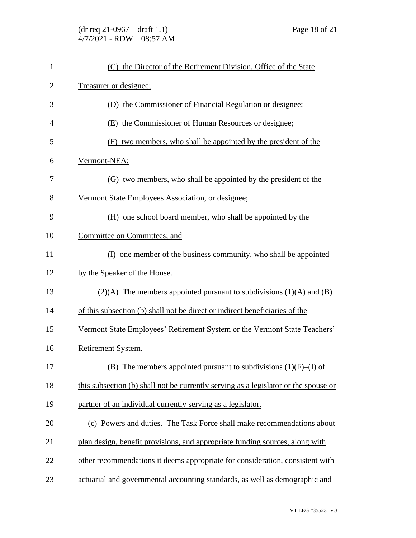| $\mathbf{1}$   | (C) the Director of the Retirement Division, Office of the State                    |
|----------------|-------------------------------------------------------------------------------------|
| $\overline{2}$ | Treasurer or designee;                                                              |
| 3              | (D) the Commissioner of Financial Regulation or designee;                           |
| 4              | (E) the Commissioner of Human Resources or designee;                                |
| 5              | (F) two members, who shall be appointed by the president of the                     |
| 6              | Vermont-NEA;                                                                        |
| 7              | (G) two members, who shall be appointed by the president of the                     |
| 8              | Vermont State Employees Association, or designee;                                   |
| 9              | (H) one school board member, who shall be appointed by the                          |
| 10             | Committee on Committees; and                                                        |
| 11             | (I) one member of the business community, who shall be appointed                    |
| 12             | by the Speaker of the House.                                                        |
| 13             | $(2)(A)$ The members appointed pursuant to subdivisions $(1)(A)$ and $(B)$          |
| 14             | of this subsection (b) shall not be direct or indirect beneficiaries of the         |
| 15             | Vermont State Employees' Retirement System or the Vermont State Teachers'           |
| 16             | Retirement System.                                                                  |
| 17             | The members appointed pursuant to subdivisions $(1)(F)$ – $(I)$ of<br>(B)           |
| 18             | this subsection (b) shall not be currently serving as a legislator or the spouse or |
| 19             | partner of an individual currently serving as a legislator.                         |
| 20             | (c) Powers and duties. The Task Force shall make recommendations about              |
| 21             | plan design, benefit provisions, and appropriate funding sources, along with        |
| 22             | other recommendations it deems appropriate for consideration, consistent with       |
| 23             | actuarial and governmental accounting standards, as well as demographic and         |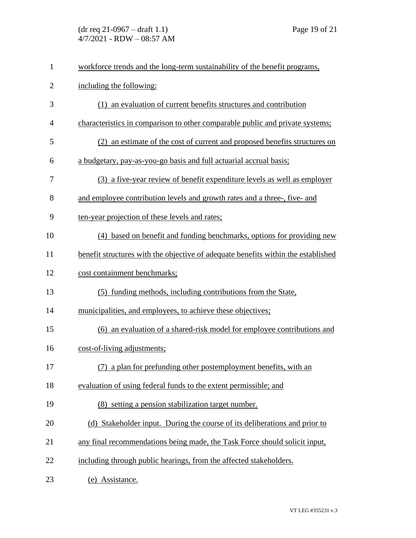| $\mathbf{1}$   | workforce trends and the long-term sustainability of the benefit programs,        |
|----------------|-----------------------------------------------------------------------------------|
| $\overline{c}$ | including the following:                                                          |
| 3              | (1) an evaluation of current benefits structures and contribution                 |
| $\overline{4}$ | characteristics in comparison to other comparable public and private systems;     |
| 5              | (2) an estimate of the cost of current and proposed benefits structures on        |
| 6              | a budgetary, pay-as-you-go basis and full actuarial accrual basis;                |
| 7              | (3) a five-year review of benefit expenditure levels as well as employer          |
| 8              | and employee contribution levels and growth rates and a three-, five- and         |
| 9              | ten-year projection of these levels and rates;                                    |
| 10             | (4) based on benefit and funding benchmarks, options for providing new            |
| 11             | benefit structures with the objective of adequate benefits within the established |
| 12             | cost containment benchmarks;                                                      |
| 13             | (5) funding methods, including contributions from the State,                      |
| 14             | municipalities, and employees, to achieve these objectives;                       |
| 15             | (6) an evaluation of a shared-risk model for employee contributions and           |
| 16             | cost-of-living adjustments;                                                       |
| 17             | (7) a plan for prefunding other postemployment benefits, with an                  |
| 18             | evaluation of using federal funds to the extent permissible; and                  |
| 19             | (8) setting a pension stabilization target number.                                |
| 20             | (d) Stakeholder input. During the course of its deliberations and prior to        |
| 21             | any final recommendations being made, the Task Force should solicit input,        |
| 22             | including through public hearings, from the affected stakeholders.                |
| 23             | (e) Assistance.                                                                   |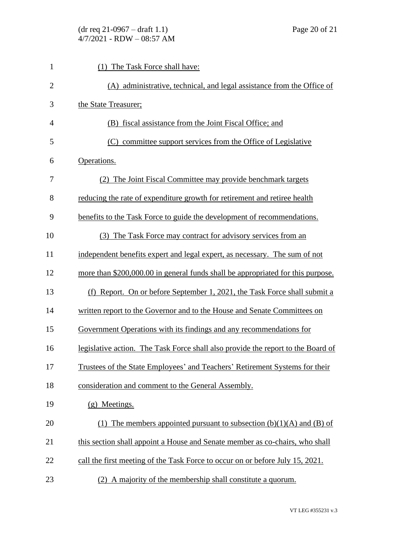| $\mathbf{1}$   | (1) The Task Force shall have:                                                   |
|----------------|----------------------------------------------------------------------------------|
| $\overline{2}$ | (A) administrative, technical, and legal assistance from the Office of           |
| 3              | the State Treasurer;                                                             |
| $\overline{4}$ | (B) fiscal assistance from the Joint Fiscal Office; and                          |
| 5              | (C) committee support services from the Office of Legislative                    |
| 6              | Operations.                                                                      |
| 7              | (2) The Joint Fiscal Committee may provide benchmark targets                     |
| 8              | reducing the rate of expenditure growth for retirement and retiree health        |
| 9              | benefits to the Task Force to guide the development of recommendations.          |
| 10             | (3) The Task Force may contract for advisory services from an                    |
| 11             | independent benefits expert and legal expert, as necessary. The sum of not       |
| 12             | more than \$200,000.00 in general funds shall be appropriated for this purpose.  |
| 13             | Report. On or before September 1, 2021, the Task Force shall submit a<br>(f)     |
| 14             | written report to the Governor and to the House and Senate Committees on         |
| 15             | Government Operations with its findings and any recommendations for              |
| 16             | legislative action. The Task Force shall also provide the report to the Board of |
| 17             | Trustees of the State Employees' and Teachers' Retirement Systems for their      |
| 18             | consideration and comment to the General Assembly.                               |
| 19             | (g) Meetings.                                                                    |
| 20             | (1) The members appointed pursuant to subsection $(b)(1)(A)$ and $(B)$ of        |
| 21             | this section shall appoint a House and Senate member as co-chairs, who shall     |
| 22             | call the first meeting of the Task Force to occur on or before July 15, 2021.    |
| 23             | (2) A majority of the membership shall constitute a quorum.                      |